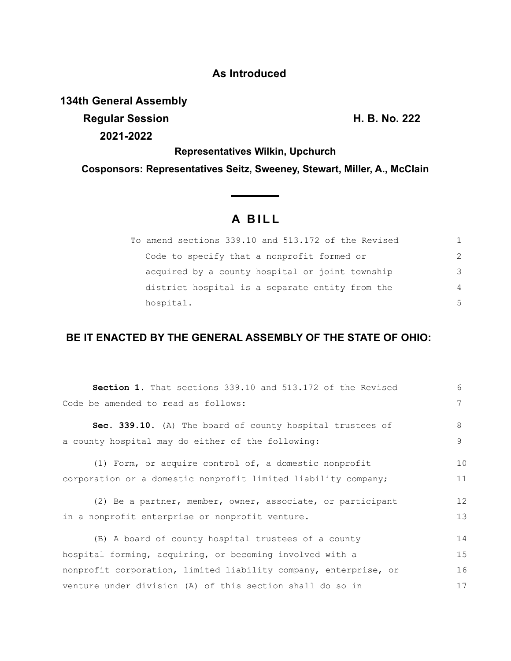## **As Introduced**

**134th General Assembly**

**Regular Session H. B. No. 222 2021-2022**

**Representatives Wilkin, Upchurch**

**Cosponsors: Representatives Seitz, Sweeney, Stewart, Miller, A., McClain**

## **A B I L L**

| To amend sections 339.10 and 513.172 of the Revised |               |
|-----------------------------------------------------|---------------|
| Code to specify that a nonprofit formed or          | $\mathcal{P}$ |
| acquired by a county hospital or joint township     | 3             |
| district hospital is a separate entity from the     | 4             |
| hospital.                                           | .5            |

## **BE IT ENACTED BY THE GENERAL ASSEMBLY OF THE STATE OF OHIO:**

| Section 1. That sections 339.10 and 513.172 of the Revised       | $6 \overline{6}$ |
|------------------------------------------------------------------|------------------|
| Code be amended to read as follows:                              | 7                |
| Sec. 339.10. (A) The board of county hospital trustees of        | 8                |
| a county hospital may do either of the following:                | 9                |
| (1) Form, or acquire control of, a domestic nonprofit            | 10               |
| corporation or a domestic nonprofit limited liability company;   | 11               |
| (2) Be a partner, member, owner, associate, or participant       | 12               |
| in a nonprofit enterprise or nonprofit venture.                  | 13               |
| (B) A board of county hospital trustees of a county              | 14               |
| hospital forming, acquiring, or becoming involved with a         | 15               |
| nonprofit corporation, limited liability company, enterprise, or | 16               |
| venture under division (A) of this section shall do so in        | 17               |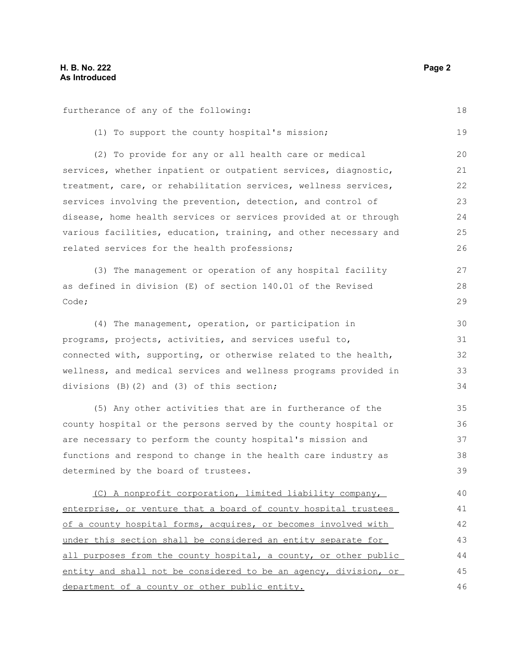furtherance of any of the following:

(1) To support the county hospital's mission; (2) To provide for any or all health care or medical services, whether inpatient or outpatient services, diagnostic, treatment, care, or rehabilitation services, wellness services, services involving the prevention, detection, and control of disease, home health services or services provided at or through various facilities, education, training, and other necessary and related services for the health professions; (3) The management or operation of any hospital facility as defined in division (E) of section 140.01 of the Revised Code; (4) The management, operation, or participation in programs, projects, activities, and services useful to, connected with, supporting, or otherwise related to the health, wellness, and medical services and wellness programs provided in divisions (B)(2) and (3) of this section; (5) Any other activities that are in furtherance of the county hospital or the persons served by the county hospital or are necessary to perform the county hospital's mission and functions and respond to change in the health care industry as determined by the board of trustees. (C) A nonprofit corporation, limited liability company, enterprise, or venture that a board of county hospital trustees of a county hospital forms, acquires, or becomes involved with under this section shall be considered an entity separate for all purposes from the county hospital, a county, or other public entity and shall not be considered to be an agency, division, or 19 20 21 22 23 24 25 26 27 28 29 30 31 32 33 34 35 36 37 38 39 40 41 42 43 44 45

department of a county or other public entity. 46

18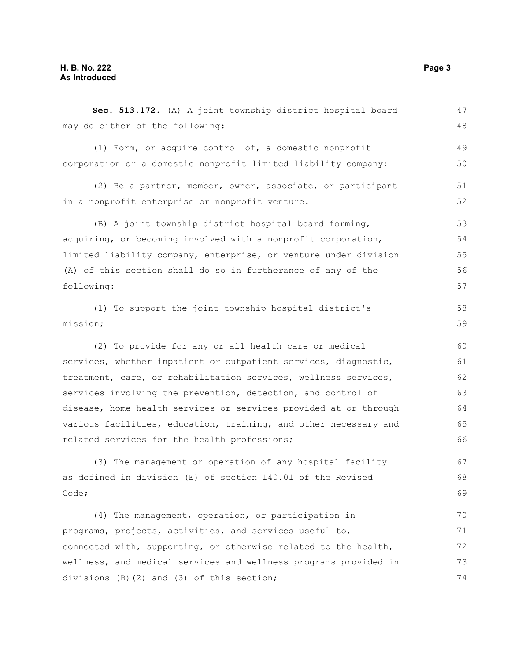**Sec. 513.172.** (A) A joint township district hospital board may do either of the following: (1) Form, or acquire control of, a domestic nonprofit corporation or a domestic nonprofit limited liability company; (2) Be a partner, member, owner, associate, or participant in a nonprofit enterprise or nonprofit venture. (B) A joint township district hospital board forming, acquiring, or becoming involved with a nonprofit corporation, limited liability company, enterprise, or venture under division (A) of this section shall do so in furtherance of any of the following: (1) To support the joint township hospital district's mission; (2) To provide for any or all health care or medical services, whether inpatient or outpatient services, diagnostic, treatment, care, or rehabilitation services, wellness services, services involving the prevention, detection, and control of disease, home health services or services provided at or through various facilities, education, training, and other necessary and related services for the health professions; (3) The management or operation of any hospital facility as defined in division (E) of section 140.01 of the Revised Code; (4) The management, operation, or participation in programs, projects, activities, and services useful to, connected with, supporting, or otherwise related to the health, wellness, and medical services and wellness programs provided in divisions (B)(2) and (3) of this section; 47 48 49 50 51 52 53 54 55 56 57 58 59 60 61 62 63 64 65 66 67 68 69 70 71 72 73 74